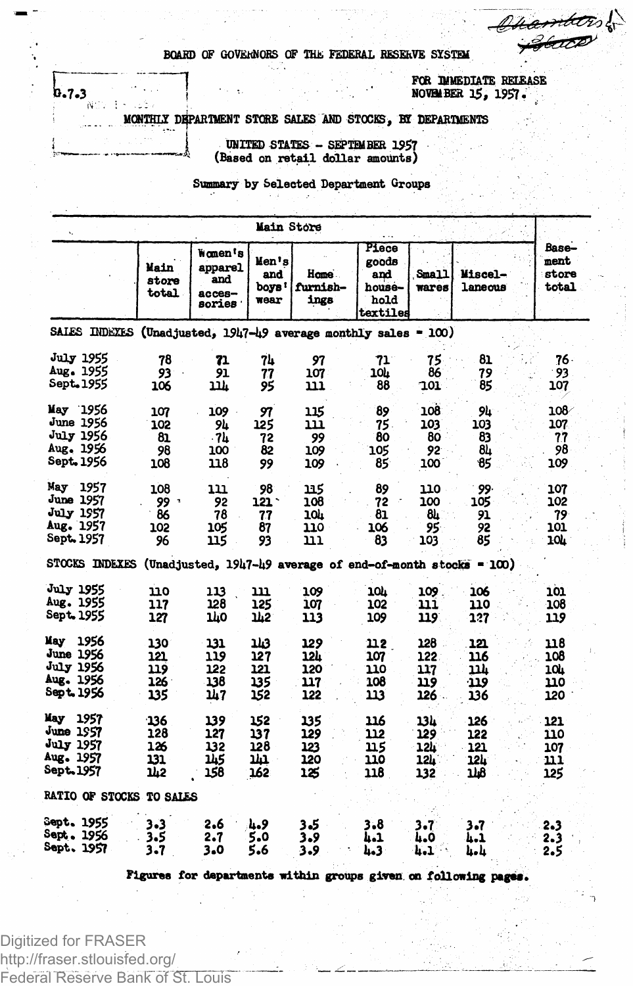$m\llap/$ 

BOARD OF GOVERNORS OF THE FEDERAL RESERVE SYSTEM

FOR DIMEDIATE RELEASE NOVEM BER 15, 1957.

MONTHLY DEPARTMENT STORE SALES AND STOCKS, BY DEPARTMENTS

UNITED STATES - SEPTEMBER 1957 (Based on retail dollar amounts)

Summary by Selected Department Groups

|                                                                                |                                 |                                                              | Main Store                      |                                                            |                                                     |                                 |                                 |                                  |
|--------------------------------------------------------------------------------|---------------------------------|--------------------------------------------------------------|---------------------------------|------------------------------------------------------------|-----------------------------------------------------|---------------------------------|---------------------------------|----------------------------------|
|                                                                                | Main<br>store<br>total          | wamen's<br>apparel<br>and<br>$acces-$<br>sories <sup>.</sup> | Men's<br>and<br>boys!<br>wear   | liame .<br>furnish-<br>ings                                | Piece<br>goods<br>and<br>house-<br>hold<br>textiles | Small<br>wares                  | Miscel-<br>laneous              | Base—<br>ment<br>store<br>total  |
| SALES INDEXES (Unadjusted, 1947-49 average monthly sales = 100)                |                                 |                                                              |                                 |                                                            |                                                     |                                 |                                 |                                  |
| <b>July 1955</b><br>Aug. 1955<br>Sept. 1955                                    | 78<br>93<br>106                 | 71<br>91<br>11h                                              | 74<br>77<br>95                  | 97<br>107<br>נננ                                           | 71<br>104<br>88                                     | 75<br>86<br>101                 | 81<br>79<br>85                  | $76 -$<br>93<br>107              |
| May 1956<br>June 1956<br><b>July 1956</b><br>Aug. 1956<br>Sept. 1956           | 107<br>102<br>81<br>98<br>108   | 109<br>94<br>- 74<br>100<br>118                              | 97<br>125<br>72<br>82<br>99     | 115<br>111<br>99<br>109<br>109                             | 89<br>75.<br>80<br>105<br>85                        | 301<br>103<br>80<br>92<br>100   | 94<br>103<br>83<br>84<br>85     | ∕108<br>107<br>77<br>98<br>109   |
| 1957<br>May<br>June 1957<br>July 1957<br>Aug. 1957<br><b>Sept. 1957</b>        | 108<br>۰ وو<br>86<br>102<br>96  | 111<br>92<br>78<br>105<br>115                                | 98<br>121 `<br>77<br>87<br>93   | 115<br>108<br>10h<br>110<br>111                            | 89<br>72<br>81<br>106<br>83                         | 110<br>100<br>81.<br>95<br>103  | 99.<br>105<br>91<br>92<br>85    | 107<br>102<br>79<br>101<br>104   |
| <b>STOCKS INDEXES</b>                                                          |                                 |                                                              |                                 | (Unadjusted, 1947-49 average of end-of-month stocks = 100) |                                                     |                                 |                                 |                                  |
| <b>July 1955</b><br>Aug. 1955<br><b>Sept. 1955</b>                             | 110<br>117<br>127               | 113<br>128<br>140                                            | נננ<br>125<br>142               | 109<br>107<br>113                                          | 10h<br>102<br>109                                   | 109<br>111<br>119               | 106<br>110<br>127               | 101<br>108<br>119                |
| 1956<br>Kay<br>June 1956<br><b>July 1956</b><br>Aug. 1956<br><b>Sept. 1956</b> | 130<br>121<br>119<br>126<br>135 | 131<br>119<br>122<br>138<br>147                              | 113<br>127<br>121<br>135<br>152 | 129<br>12h<br>120<br>117<br>122                            | 112<br>107<br>110<br>108<br>113                     | 128<br>122<br>117<br>119<br>126 | 121<br>116<br>עננ<br>919<br>136 | 118<br>108<br>10h<br>110<br>120  |
| May<br>1957<br>June 1957<br>July 1957<br>Aug. 1957<br><b>Sept. 1957</b>        | 136<br>128<br>126<br>131<br>142 | 139<br>127<br>132<br>145<br>158                              | 152<br>137<br>128<br>m<br>162   | 135<br>129<br>123<br>120<br>125                            | 116<br>112<br>115<br>110<br>118                     | 13h<br>129<br>12h<br>12h<br>132 | 126<br>122<br>121<br>12L.<br>ıю | 121<br>110<br>107<br>11 1<br>125 |
| RATIO OF STOCKS TO SALES                                                       |                                 |                                                              |                                 |                                                            |                                                     |                                 |                                 |                                  |
| Sept. 1955<br>Sept. 1956<br>Sept. 1957                                         | 3.3<br>3.5<br>3.7               | 2.6<br>2.7<br>3.0                                            | وميا<br>5.0<br>5.6              | 3.5<br>3.9<br>3.9                                          | 3.8<br>4.1<br>4.3                                   | 3.7<br>4.0<br>4.1               | 3.7<br>4.1<br>և և               | 2.3<br>2.3<br>2.5                |

Figures for departments within groups given on following pages.

Digitized for FRASER http://fraser.stlouisfed.org/ Federal Reserve Bank of St. Louis

 $b_{\bullet}$ 7.3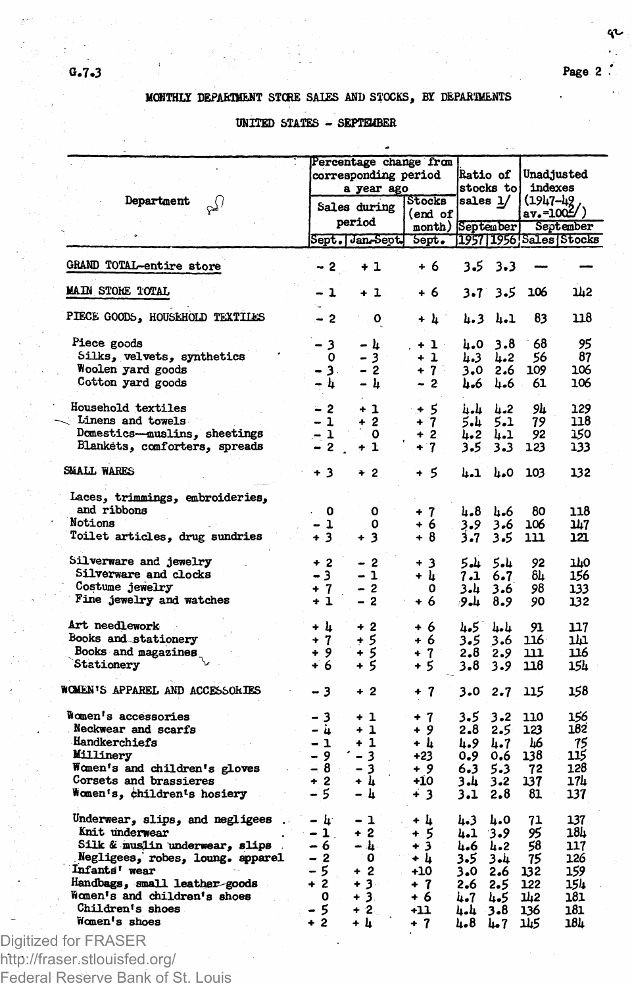qı

## MCMTHLX DEPARTMENT STCRE SAIES AND STOCKS, BY DEPARTMENTS

## UNITED STATES - SEPTEMBER

|                                                                    |                     | Percentage change from |                   |            |                              |          |                          |  |
|--------------------------------------------------------------------|---------------------|------------------------|-------------------|------------|------------------------------|----------|--------------------------|--|
|                                                                    |                     | corresponding period   |                   |            | <b>Ratio of</b><br>stocks to |          | Unadjusted<br>indexes    |  |
|                                                                    |                     | a year ago             |                   |            |                              |          |                          |  |
| Department<br>$\omega$                                             |                     | Sales during           |                   |            | sales 1/                     | (1947-42 |                          |  |
|                                                                    |                     |                        | (end of           |            |                              |          | $av.-1002/$              |  |
|                                                                    |                     | period                 | month) September  |            |                              |          | September                |  |
|                                                                    |                     | Sept. Jan-Sept. Sept.  |                   |            |                              |          | [1957] 1956 Sales Stocks |  |
| GRAND TOTAL-entire store                                           | - 2                 | $+1$                   | + 6               |            | $3.5 \t3.3$                  |          |                          |  |
| MAIN STORE TOTAL                                                   | - 1                 | + 1 -                  | + 6               | $3 - 7$    | 3.5                          | 106      | 142                      |  |
| PIECE GOODS, HOUSEHOLD TEXTILES                                    | $-2$                | ٥                      | + h *             |            | 4.3 4.1                      | 83       | 118                      |  |
|                                                                    |                     |                        |                   |            |                              |          |                          |  |
| Piece goods                                                        | - 3                 | – հ                    | $+1$              | 4.0        | 3.8                          | 68       | 95                       |  |
| Silks, velvets, synthetics                                         | ٥                   | 3 <sup>1</sup>         | $+1$              | 4.3        | 4.2                          | 56       | 87                       |  |
| Woolen yard goods                                                  | - 3.                | $-2$                   | $+7$              |            | 3.02.6                       | 109      | 106                      |  |
| Cotton yard goods                                                  | – h                 | – h                    | $-2$              | 4.6        | 4.6                          | 61       | 106                      |  |
| Household textiles                                                 | $-2$                | $+1$                   | $+5$              | л-п        | հ.2                          | ىل9      | 129                      |  |
| Linens and towels                                                  | $-1$                | $+2$                   |                   |            |                              |          | 118                      |  |
|                                                                    |                     |                        | $+7$              | 5.4        | 5.1                          | 79       |                          |  |
| Domestics—muslins, sheetings                                       | $-1$                | ٥                      | $+2$              | 4.2        | 4.1                          | 92       | 150                      |  |
| Blankets, comforters, spreads                                      | $-2$ .              | $+1$                   | $+7$              | $3 - 5$    | $3 - 3$                      | 123      | 133                      |  |
| SMALL WARES                                                        | $+3$                | $+2$                   | $+5$              | <b>h.1</b> | 4.0                          | 103      | 132                      |  |
| Laces, trimmings, embroideries,<br>and ribbons                     |                     |                        |                   |            |                              |          |                          |  |
|                                                                    | 0                   | 0                      | $+7$              | 4.8        | 4.6                          | 80       | 118                      |  |
| Notions                                                            | - 1                 | 0                      | + 6               | 3.9        | 3.6                          | 106      | 147                      |  |
| Toilet articles, drug sundries                                     | $+3$                | $+3$                   | $+8$              | 3.7        | 3.5                          | 111      | 121                      |  |
| Silverware and jewelry                                             | $+2$                | - 2                    | + 3               | - شاھ      | 5.4                          | 92       | 770                      |  |
| Silverware and clocks                                              | $-3$                | - 1                    | + և               |            | 6.7                          | 84       | 156                      |  |
| Costume jewelry                                                    |                     |                        |                   | 7.1        |                              |          |                          |  |
| Fine jewelry and watches                                           | $+7$<br>$+1$        | $-2$<br>$-2$           | 0                 | 4،3        | 3.6                          | 98       | 133                      |  |
|                                                                    |                     |                        | $+6$              |            | $9 - 8 - 9$                  | 90       | 132                      |  |
| Art needlework                                                     | + h                 | $+2$                   | + 6               |            | հ.5 հ.հ                      | 91       | 117                      |  |
| Books and stationery                                               | $+7$                | + 5                    | + 6               | 3.5        | 3.6                          | 116      | ı'n                      |  |
| Books and magazines                                                | $+9$                | + 5                    | $+7$ <sup>-</sup> | 2.8        | 2.9                          | 111      | 116                      |  |
| Stationery                                                         | $+6$                | $+5$                   | + 5               |            | $3.8$ $3.9$                  | 118      | 154                      |  |
| WOMEN'S APPAREL AND ACCESSORIES                                    | - 3                 | $+2$                   | $+7$              | 3.0        | 2.7                          | 115      | 158                      |  |
|                                                                    |                     |                        |                   |            |                              |          |                          |  |
| Women's accessories                                                | - 3                 | + 1                    | $+7$              | 3.5        | 3.2                          | 110      | 156                      |  |
| Neckwear and scarfs                                                | – ù                 | $+1$                   | $+9$              | 2.8        | 2.5                          | 123      | 182                      |  |
| Handkerchiefs                                                      | $-1$                | + 1                    | + h               | 4.9        | 4.7                          | Ŀ6       | 75                       |  |
| Millinery                                                          | $-9$                | $-3$                   | $+23$             | $0 - 9$    | 0.6                          | 138      | 115                      |  |
| Women's and children's gloves                                      | $-2 = -8$           | - 3                    | + 9               | 6.3        | 5.3                          | 72       | 128                      |  |
| Corsets and brassieres                                             | $+2$                | + 4                    | +10               | 3.4        | $3 - 2$                      | 137      | 174                      |  |
| Women's, children's hosiery                                        | - 5                 | - հ                    | + 3               | 3.1        | 2.8                          | 81       | 137                      |  |
| Underwear, slips, and negligees.                                   | – h                 | - 1                    |                   |            |                              |          | 137                      |  |
|                                                                    |                     |                        | + 4               | 4.3        | ۵.۵                          | 71       |                          |  |
| Knit underwear                                                     | $-1$ .              | $+2$                   | + 5               | 4.1        | -3.9                         | 95       | 18L                      |  |
| Silk & muslin underwear, slips<br>Negligees, robes, loung. apparel | - 6                 | – հ․                   | + 3               | 4.6        | 4.2                          | 58       | 117                      |  |
|                                                                    | $-2$                | ∴ O                    | + h               | 3.5        | ىنە 3                        | 75       | 126                      |  |
| Infants' wear                                                      | - 5                 | $+2$                   | $+10$             | 3.0        | 2.6                          | 132      | 159                      |  |
| Handbags, small leather-goods                                      | $+\frac{3}{2}$      | $+3$                   | $+7$              | 2.6        | 2.5                          | 122      | 154                      |  |
| Women's and children's shoes                                       | $\bullet$ $\bullet$ | $+3.$                  | + 6               | 4.7        | 4.5                          | 과2       | 181                      |  |
| Children's shoes                                                   | - 5                 | $+2$                   | $+11$             | 4.4        | $3 - 8$                      | 136      | 181                      |  |
| Women's shoes                                                      | $+2$                | + h                    | $+7$              | 4.8        | 7 مىل                        | 145      | 184                      |  |
| $f \circ r$ ED $\land$ CED                                         |                     |                        |                   |            |                              |          |                          |  |

Digitized for FRASER http://fraser.stlouisfed.org/ Federal Reserve Bank of St. Louis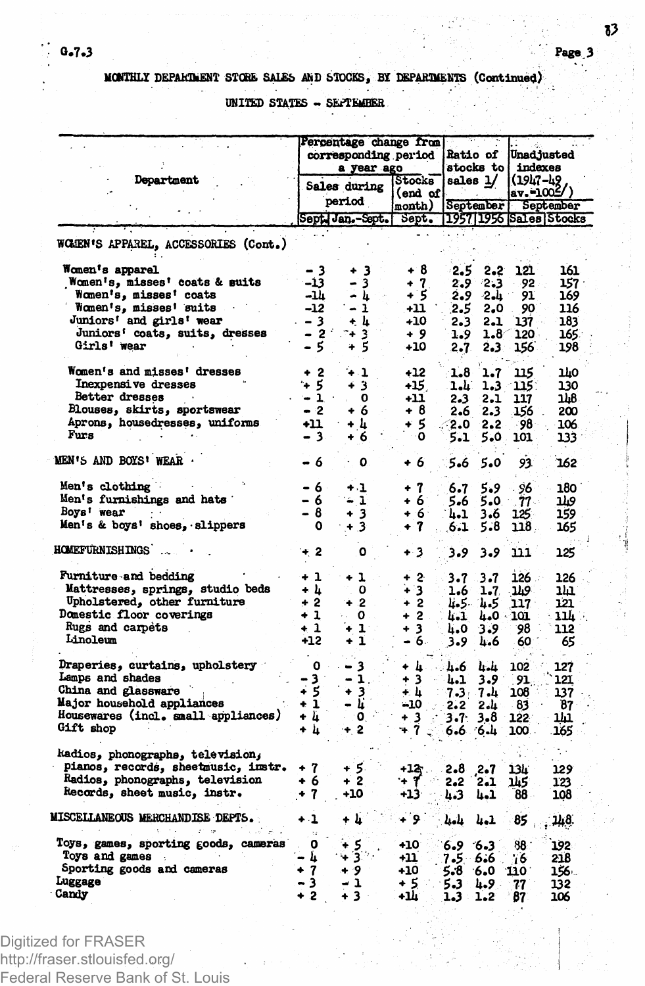UNITED STATES - SEPTEMBER

|                                         |         | Percentage change from<br>corresponding period<br>a year ago<br>Stocks |                   |            | <b>Ratio of</b><br>stocks to |                         | <b>Unadjusted</b><br>indexes |  |
|-----------------------------------------|---------|------------------------------------------------------------------------|-------------------|------------|------------------------------|-------------------------|------------------------------|--|
| Department                              |         | Sales during                                                           |                   | sales 1/   |                              | (1947–49<br> av.=1005/) |                              |  |
|                                         |         | period                                                                 | (end of<br>month) | September  |                              |                         | September                    |  |
|                                         |         | Sept Jan.-Sept. Sept.                                                  |                   |            |                              |                         | 1957 1956 Sales Stocks       |  |
|                                         |         |                                                                        |                   |            |                              |                         |                              |  |
| WOMEN'S APPAREL, ACCESSORIES (Cont.)    |         |                                                                        |                   |            |                              |                         |                              |  |
| <b>Women's apparel</b>                  | - 3     | -3<br>۰                                                                | + 8               | 2.5        | 2.2 <sub>2</sub>             | 121                     | 161                          |  |
| Women's, misses' coats & suits          | -13     | 3                                                                      | $+7$              | 2.9        | -2.3                         | 92                      | 157 :                        |  |
| Women's, misses' coats                  | -14     | - 4                                                                    | + 5               | 2.9        | -2.L                         | 91                      | 169                          |  |
| Women's, misses' suits                  | -12     | - 1                                                                    | +11               | 2.5        | 2,0                          | 90                      | 116                          |  |
| Juniors' and girls' wear                | - 3     | + h                                                                    | +10               | 2.3        | 2.1                          | 137.                    | 183                          |  |
| Juniors' coats, suits, dresses          | $-2$    | 3<br>÷                                                                 | - 9               | 1.9        | 1.8                          | 120.                    | 165.                         |  |
| Girls' wear                             | - 5     | + 5                                                                    | +10               | 2.7        | 2.3                          | 156                     | 198                          |  |
| Women's and misses' dresses             | + 2     | 41                                                                     | $+12$             | 1.8        | 1.7                          | 115                     | 140                          |  |
| Inexpensive dresses                     | ÷ 5     | + 3                                                                    | $+15$             | 1.L.       | 1.3                          | 115:                    | 130                          |  |
| Better dresses                          | $-1$    | 0                                                                      | +11               | 2.3        | 2.1                          | 117                     | 118                          |  |
| Blouses, skirts, sportswear             | $-2$    | + 6                                                                    | + 8               | 2.6        | 2.3                          | 156                     | 200                          |  |
| Aprons, housedresses, uniforms          | +11     | + 4                                                                    | + 5               | . 2.0      | $2 - 2$                      | -98                     | 106                          |  |
| Furs                                    | $-3.1$  | 6<br>÷                                                                 | O                 | 5.1        | 5.0                          | 101                     | 133                          |  |
| <b>MEN'S AND BOYS' WEAR .</b>           | - 6     | ٥                                                                      | + 6               | 5.6        | 5.0                          | 93.                     | 162                          |  |
| Men's clothing                          | - 6 -   | $+1$                                                                   | + 7               |            | 5.9                          |                         | 180                          |  |
| Men's furnishings and hats              | - 6     | - 1                                                                    | + 6               | 6.7<br>5.6 | 5.0                          | 96<br>$77-$             | 119                          |  |
| Boys' wear                              | - 8     | + 3                                                                    | +6.               |            | 3.6                          |                         | 159                          |  |
| Men's & boys' shoes, slippers           | O       | $+3$                                                                   | $+7$              | 4.1<br>6.1 | 5.8                          | 125<br>118.             | 165                          |  |
| <b>HOMEFURNISHINGS</b>                  | - 2     | ٥                                                                      | + 3               | 3.9        | 3.9                          | 111                     | 125                          |  |
| Furniture and bedding                   | $+1$    | + 1                                                                    | $+2$              |            |                              | 126                     |                              |  |
| Mattresses, springs, studio beds        | + և     | 0                                                                      | ∔ 3               | 3.7        | 3.7                          | ويلا.                   | 126<br><u>נונ</u>            |  |
| Upholstered, other furniture            | $+2$    | $+2$                                                                   | $+2$              | 1.6        | $1 - 7$<br>հ.5 հ.5           | 117                     | 121                          |  |
| <b>Domestic floor coverings</b>         | +1      | $\sim$ 0 .                                                             | + 2               |            | 4.1 4.0 101                  |                         | 11k                          |  |
| Rugs and carpets                        | $\pm 1$ | + 1∴                                                                   | $\mathbf{3}$<br>٠ | 4.0        | 3.9                          | 98                      | 112                          |  |
| Linoleum                                | +12     | 1<br>٠                                                                 | - 6.              | 3.9        | 4.6                          | 60                      | 65                           |  |
|                                         |         |                                                                        |                   |            |                              |                         |                              |  |
| Draperies, curtains, upholstery         | o       | 3<br>-                                                                 | ∔ կ…              | . 4.6      | հա                           | 102                     | 127                          |  |
| Lamps and shades                        | 3.      | 1.                                                                     | + 3               | 4.1        | 3.9                          | 91                      | 121                          |  |
| China and glassware                     | + 5     | $+3$                                                                   | 无业                |            | $7.3 - 7.4$                  | 108                     | 137                          |  |
| Major household appliances              | $\pm 1$ | - li                                                                   | -10               | 2.2        | 2.4                          | 83                      | 87                           |  |
| Housewares (incl. small appliances)     | + h     | 0.                                                                     | $+3$              | 3.7.       | 3.8                          | 122                     | ıы                           |  |
| Gift shop                               | + h     | $+2$                                                                   | ች 7               |            | $6.6 \t6.4$                  | 100.                    | 165                          |  |
| , phonographs, television وkadios       |         |                                                                        |                   |            |                              |                         |                              |  |
| pianos, records, sheetmusic, instr.     | + 7     | + 5.                                                                   | +12 -             | 2.8        | $2 - 7$                      | 13L                     | 129                          |  |
| Radios, phonographs, television         | + 6     | + 2                                                                    | + 1               | 2.2        | 2.1                          | 145                     | 123                          |  |
| Records, sheet music, instr.            | + 7     | +10                                                                    | +13               | 4.3        | 4.1                          | 88                      | 108                          |  |
| <b>MISCELLANEOUS MERCHANDISE DEPTS.</b> | + 1     | + h                                                                    | و .               | باءيا      | 4.1                          | 85                      | 148.                         |  |
| Toys, games, sporting goods, cameras    | o       | - 5                                                                    | +10               | 6.9        | 6.3                          | 88                      | 192                          |  |
| Toys and games                          | – և     | ⊬3°∙                                                                   | +11               | 7.5 6.6    |                              | 76                      | 218                          |  |
| Sporting goods and cameras              | $+7$    | - 9                                                                    | +10               | 5.8        | 6.0                          | 110                     | 156 -                        |  |
| Luggage                                 | - 3     | - 1                                                                    | + 5               | 5.3        | 4.9                          | 77                      | 132                          |  |
|                                         |         |                                                                        |                   |            |                              |                         |                              |  |

Digitized for FRASER http://fraser.stlouisfed.org/ Federal Reserve Bank of St. Louis j.

Page 3